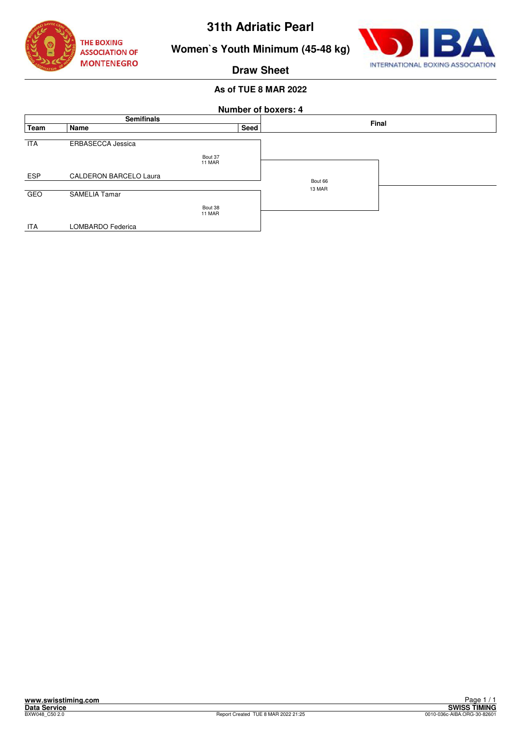



**Women`s Youth Minimum (45-48 kg)**

**Draw Sheet**

|            |                               |                   |      | <b>Number of boxers: 4</b> |       |
|------------|-------------------------------|-------------------|------|----------------------------|-------|
|            | <b>Semifinals</b>             |                   |      |                            | Final |
| Team       | Name                          |                   | Seed |                            |       |
| <b>ITA</b> | ERBASECCA Jessica             | Bout 37<br>11 MAR |      |                            |       |
| <b>ESP</b> | <b>CALDERON BARCELO Laura</b> |                   |      | Bout 66                    |       |
| <b>GEO</b> | <b>SAMELIA Tamar</b>          | Bout 38           |      | 13 MAR                     |       |
| <b>ITA</b> | LOMBARDO Federica             | 11 MAR            |      |                            |       |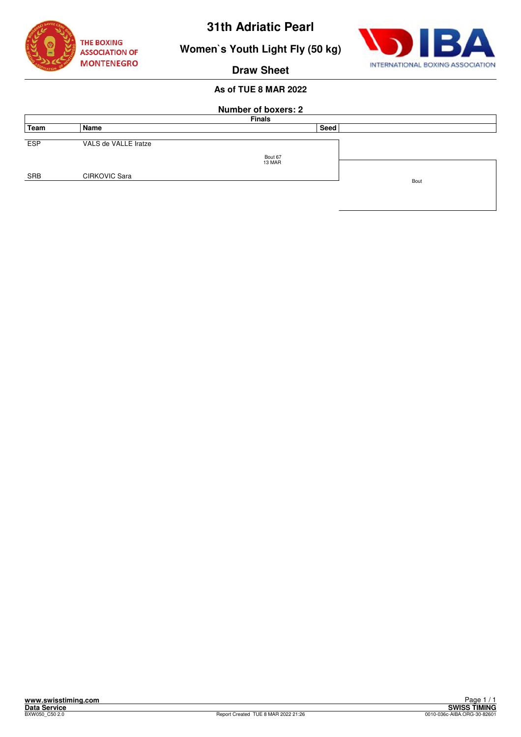





**Draw Sheet**

|            | <b>Number of boxers: 2</b> |         |      |  |  |  |  |
|------------|----------------------------|---------|------|--|--|--|--|
|            | <b>Finals</b>              |         |      |  |  |  |  |
| Team       | Name                       | Seed    |      |  |  |  |  |
| <b>ESP</b> | VALS de VALLE Iratze       | Bout 67 |      |  |  |  |  |
| SRB        | <b>CIRKOVIC Sara</b>       | 13 MAR  |      |  |  |  |  |
|            |                            |         | Bout |  |  |  |  |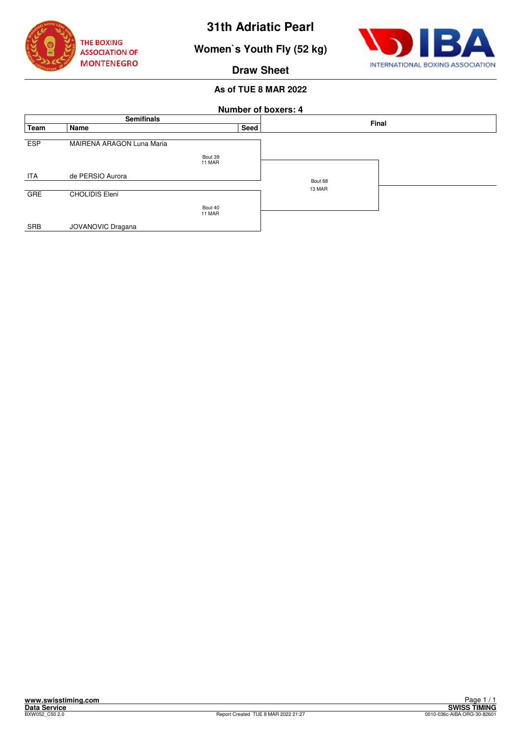

**Women`s Youth Fly (52 kg)**



**Draw Sheet**

|            |                           |                   | <b>Number of boxers: 4</b> |       |
|------------|---------------------------|-------------------|----------------------------|-------|
|            | <b>Semifinals</b>         |                   |                            | Final |
| Team       | Name                      | Seed              |                            |       |
| <b>ESP</b> | MAIRENA ARAGON Luna Maria | Bout 39<br>11 MAR |                            |       |
| <b>ITA</b> | de PERSIO Aurora          |                   | Bout 68                    |       |
| <b>GRE</b> | <b>CHOLIDIS Eleni</b>     |                   | 13 MAR                     |       |
|            |                           | Bout 40<br>11 MAR |                            |       |
| SRB        | JOVANOVIC Dragana         |                   |                            |       |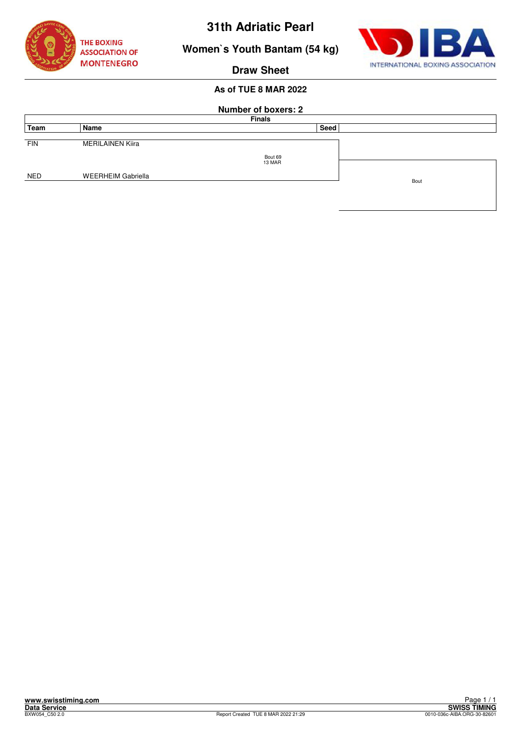

**Women`s Youth Bantam (54 kg)**



**Draw Sheet**

|            | <b>Number of boxers: 2</b> |         |      |      |  |  |  |
|------------|----------------------------|---------|------|------|--|--|--|
|            | <b>Finals</b>              |         |      |      |  |  |  |
| Team       | Name                       |         | Seed |      |  |  |  |
| <b>FIN</b> | <b>MERILAINEN Kiira</b>    | Bout 69 |      |      |  |  |  |
|            |                            | 13 MAR  |      |      |  |  |  |
| <b>NED</b> | <b>WEERHEIM Gabriella</b>  |         |      | Bout |  |  |  |
|            |                            |         |      |      |  |  |  |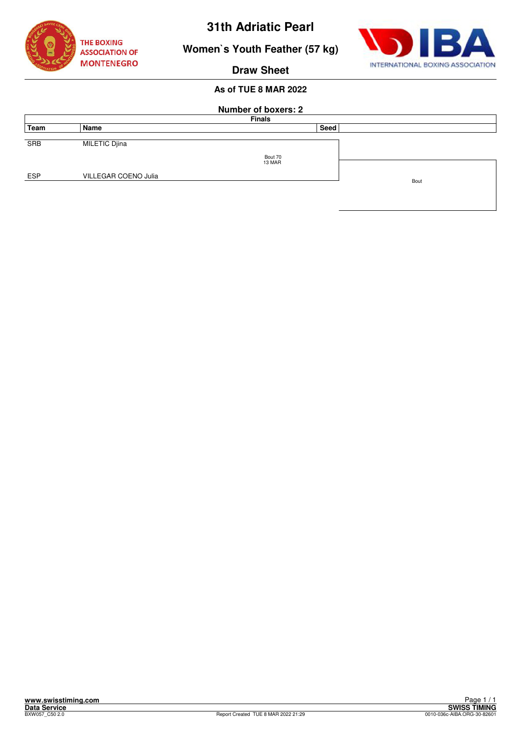

INTERNATIONAL BOXING ASSOCIATION

# **Women`s Youth Feather (57 kg)**

**Draw Sheet**

|            | <b>Number of boxers: 2</b><br><b>Finals</b> |                   |      |      |  |  |  |
|------------|---------------------------------------------|-------------------|------|------|--|--|--|
| Team       | Name                                        |                   | Seed |      |  |  |  |
| <b>SRB</b> | MILETIC Djina                               |                   |      |      |  |  |  |
|            |                                             | Bout 70<br>13 MAR |      |      |  |  |  |
| <b>ESP</b> | VILLEGAR COENO Julia                        |                   |      | Bout |  |  |  |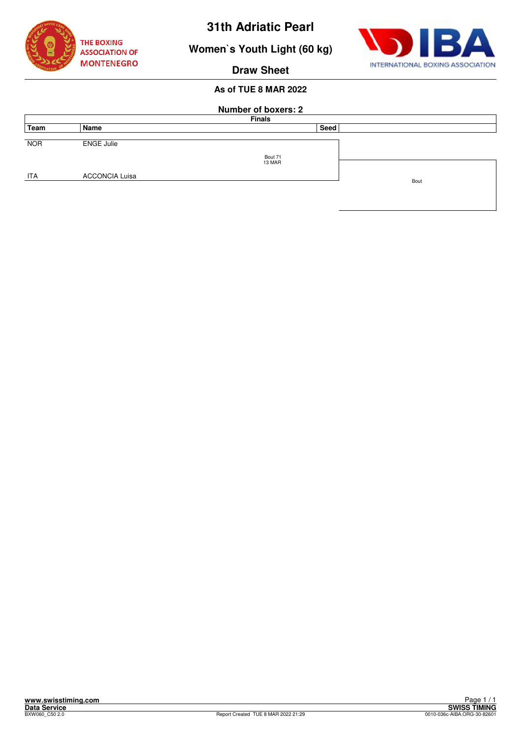

**Women`s Youth Light (60 kg)**



**Draw Sheet**

|            | <b>Number of boxers: 2</b><br><b>Finals</b> |                   |      |      |  |  |
|------------|---------------------------------------------|-------------------|------|------|--|--|
| Team       | Name                                        |                   | Seed |      |  |  |
| <b>NOR</b> | <b>ENGE Julie</b>                           |                   |      |      |  |  |
|            |                                             | Bout 71<br>13 MAR |      |      |  |  |
| <b>ITA</b> | <b>ACCONCIA Luisa</b>                       |                   |      | Bout |  |  |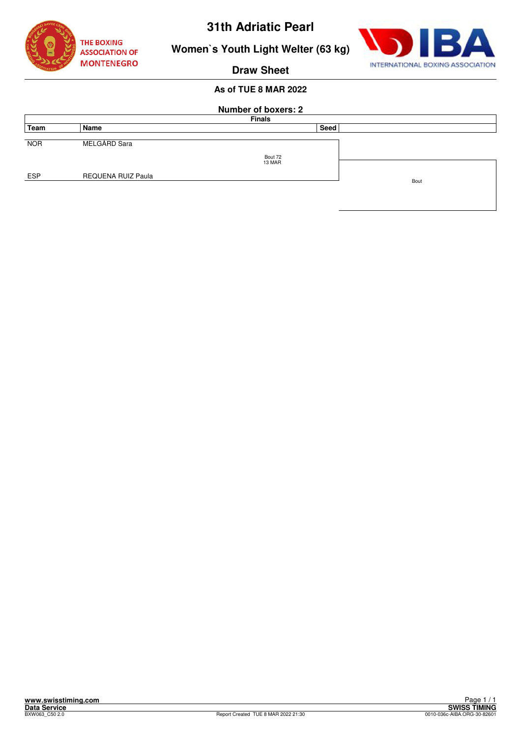



**Women`s Youth Light Welter (63 kg)**

**Draw Sheet**

|            | <b>Number of boxers: 2</b> |                   |      |      |  |  |
|------------|----------------------------|-------------------|------|------|--|--|
|            |                            | <b>Finals</b>     |      |      |  |  |
| Team       | Name                       |                   | Seed |      |  |  |
| <b>NOR</b> | MELGÅRD Sara               |                   |      |      |  |  |
|            |                            | Bout 72<br>13 MAR |      |      |  |  |
| <b>ESP</b> | REQUENA RUIZ Paula         |                   |      | Bout |  |  |
|            |                            |                   |      |      |  |  |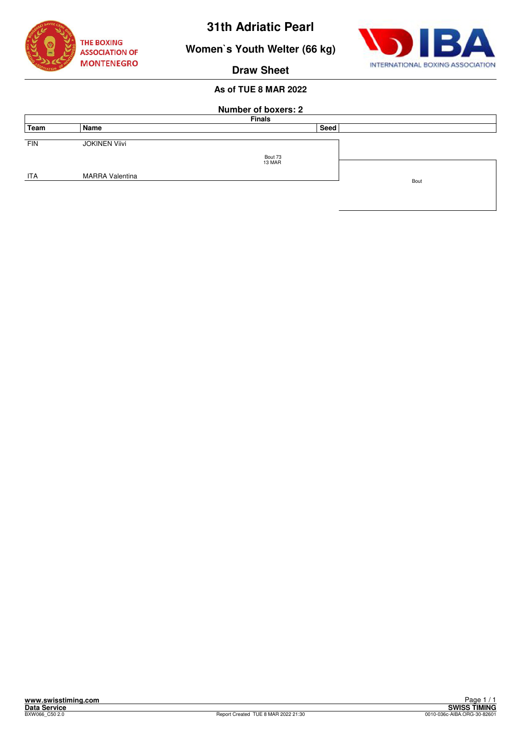

**Women`s Youth Welter (66 kg)**



**Draw Sheet**

|            | <b>Number of boxers: 2</b> |               |      |  |  |  |
|------------|----------------------------|---------------|------|--|--|--|
|            |                            | <b>Finals</b> |      |  |  |  |
| Team       | Name                       | Seed          |      |  |  |  |
| <b>FIN</b> | <b>JOKINEN Viivi</b>       |               |      |  |  |  |
|            |                            |               |      |  |  |  |
|            |                            | Bout 73       |      |  |  |  |
|            |                            | 13 MAR        |      |  |  |  |
| <b>ITA</b> | <b>MARRA Valentina</b>     |               |      |  |  |  |
|            |                            |               | Bout |  |  |  |
|            |                            |               |      |  |  |  |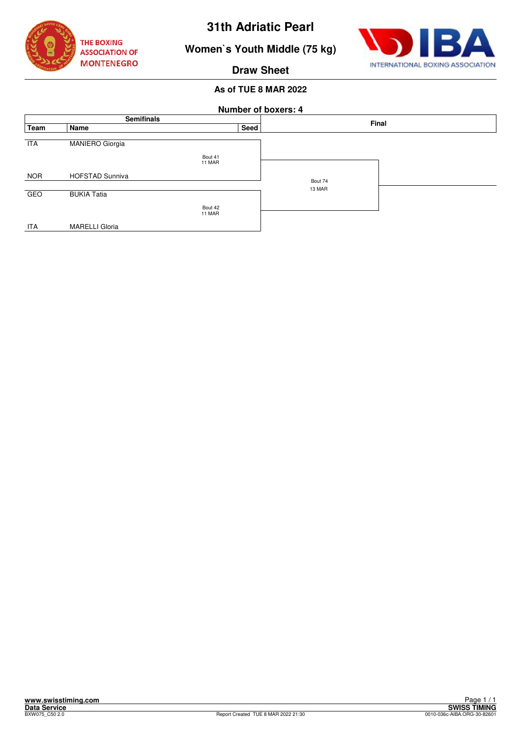

**Women`s Youth Middle (75 kg)**



**Draw Sheet**

|            |                        | <b>Number of boxers: 4</b> |         |  |  |
|------------|------------------------|----------------------------|---------|--|--|
|            | <b>Semifinals</b>      |                            | Final   |  |  |
| Team       | Name                   | Seed                       |         |  |  |
| <b>ITA</b> | <b>MANIERO Giorgia</b> | Bout 41                    |         |  |  |
|            |                        | 11 MAR                     |         |  |  |
| <b>NOR</b> | <b>HOFSTAD Sunniva</b> |                            | Bout 74 |  |  |
|            |                        |                            | 13 MAR  |  |  |
| <b>GEO</b> | <b>BUKIA Tatia</b>     |                            |         |  |  |
|            |                        | Bout 42                    |         |  |  |
|            |                        | 11 MAR                     |         |  |  |
| <b>ITA</b> | <b>MARELLI Gloria</b>  |                            |         |  |  |